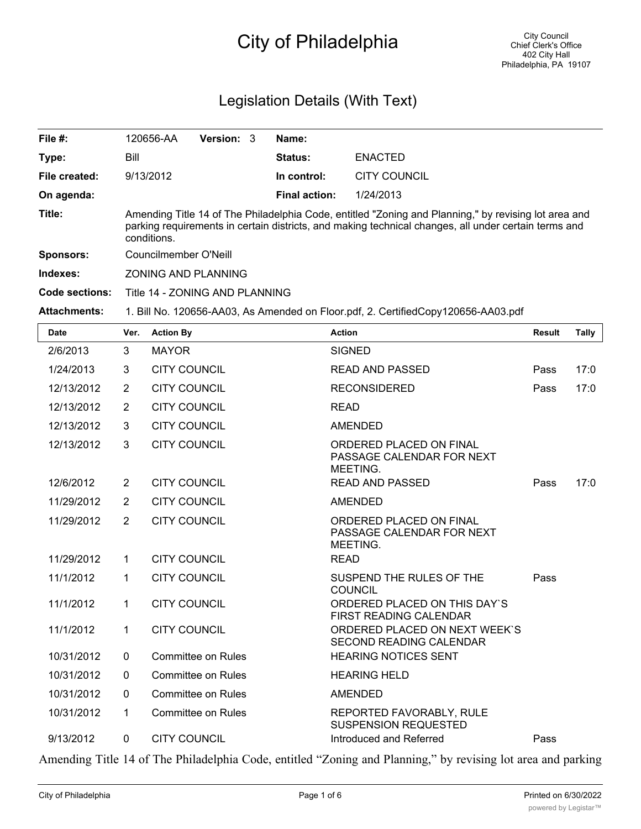# City of Philadelphia

# Legislation Details (With Text)

| File $#$ :          | 120656-AA                      | <b>Version: 3</b> | Name:                |                                                                                                                                                                                                              |
|---------------------|--------------------------------|-------------------|----------------------|--------------------------------------------------------------------------------------------------------------------------------------------------------------------------------------------------------------|
| Type:               | Bill                           |                   | <b>Status:</b>       | <b>ENACTED</b>                                                                                                                                                                                               |
| File created:       | 9/13/2012                      |                   | In control:          | <b>CITY COUNCIL</b>                                                                                                                                                                                          |
| On agenda:          |                                |                   | <b>Final action:</b> | 1/24/2013                                                                                                                                                                                                    |
| Title:              | conditions.                    |                   |                      | Amending Title 14 of The Philadelphia Code, entitled "Zoning and Planning," by revising lot area and<br>parking requirements in certain districts, and making technical changes, all under certain terms and |
| <b>Sponsors:</b>    | Councilmember O'Neill          |                   |                      |                                                                                                                                                                                                              |
| Indexes:            | <b>ZONING AND PLANNING</b>     |                   |                      |                                                                                                                                                                                                              |
| Code sections:      | Title 14 - ZONING AND PLANNING |                   |                      |                                                                                                                                                                                                              |
| <b>Attachments:</b> |                                |                   |                      | 1. Bill No. 120656-AA03, As Amended on Floor.pdf, 2. CertifiedCopy120656-AA03.pdf                                                                                                                            |

| <b>Date</b> | Ver.           | <b>Action By</b>          | <b>Action</b>                                                    | <b>Result</b> | <b>Tally</b> |
|-------------|----------------|---------------------------|------------------------------------------------------------------|---------------|--------------|
| 2/6/2013    | 3              | <b>MAYOR</b>              | <b>SIGNED</b>                                                    |               |              |
| 1/24/2013   | 3              | <b>CITY COUNCIL</b>       | <b>READ AND PASSED</b>                                           | Pass          | 17:0         |
| 12/13/2012  | $\overline{2}$ | <b>CITY COUNCIL</b>       | <b>RECONSIDERED</b>                                              | Pass          | 17:0         |
| 12/13/2012  | $\overline{2}$ | <b>CITY COUNCIL</b>       | <b>READ</b>                                                      |               |              |
| 12/13/2012  | 3              | <b>CITY COUNCIL</b>       | <b>AMENDED</b>                                                   |               |              |
| 12/13/2012  | 3              | <b>CITY COUNCIL</b>       | ORDERED PLACED ON FINAL<br>PASSAGE CALENDAR FOR NEXT<br>MEETING. |               |              |
| 12/6/2012   | $\overline{2}$ | <b>CITY COUNCIL</b>       | <b>READ AND PASSED</b>                                           | Pass          | 17:0         |
| 11/29/2012  | $\overline{2}$ | <b>CITY COUNCIL</b>       | <b>AMENDED</b>                                                   |               |              |
| 11/29/2012  | $\overline{2}$ | <b>CITY COUNCIL</b>       | ORDERED PLACED ON FINAL<br>PASSAGE CALENDAR FOR NEXT<br>MEETING. |               |              |
| 11/29/2012  | 1              | <b>CITY COUNCIL</b>       | <b>READ</b>                                                      |               |              |
| 11/1/2012   | 1              | <b>CITY COUNCIL</b>       | SUSPEND THE RULES OF THE<br><b>COUNCIL</b>                       | Pass          |              |
| 11/1/2012   | $\mathbf{1}$   | <b>CITY COUNCIL</b>       | ORDERED PLACED ON THIS DAY'S<br><b>FIRST READING CALENDAR</b>    |               |              |
| 11/1/2012   | $\mathbf{1}$   | <b>CITY COUNCIL</b>       | ORDERED PLACED ON NEXT WEEK'S<br><b>SECOND READING CALENDAR</b>  |               |              |
| 10/31/2012  | $\mathbf 0$    | <b>Committee on Rules</b> | <b>HEARING NOTICES SENT</b>                                      |               |              |
| 10/31/2012  | $\Omega$       | Committee on Rules        | <b>HEARING HELD</b>                                              |               |              |
| 10/31/2012  | $\mathbf{0}$   | <b>Committee on Rules</b> | <b>AMENDED</b>                                                   |               |              |
| 10/31/2012  | 1              | <b>Committee on Rules</b> | REPORTED FAVORABLY, RULE<br><b>SUSPENSION REQUESTED</b>          |               |              |
| 9/13/2012   | $\mathbf 0$    | <b>CITY COUNCIL</b>       | Introduced and Referred                                          | Pass          |              |

Amending Title 14 of The Philadelphia Code, entitled "Zoning and Planning," by revising lot area and parking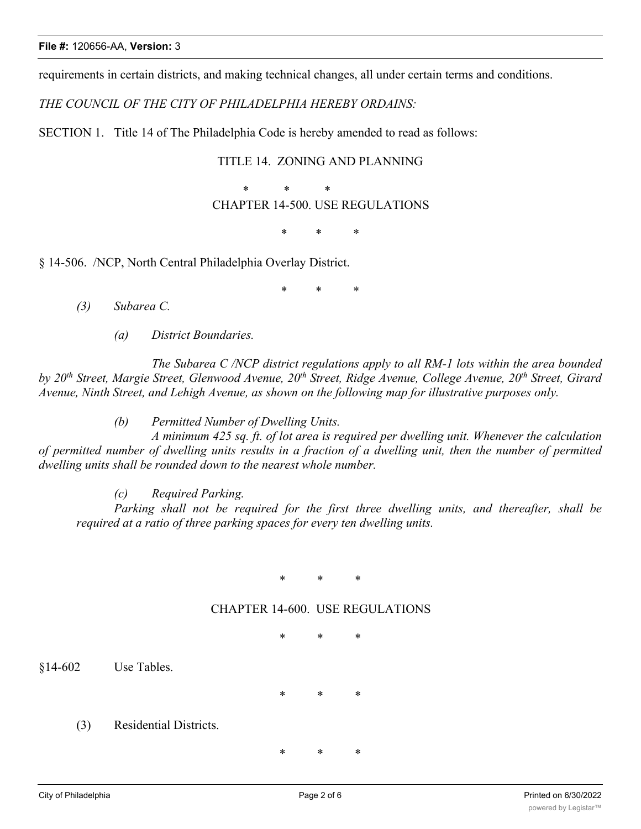requirements in certain districts, and making technical changes, all under certain terms and conditions.

*THE COUNCIL OF THE CITY OF PHILADELPHIA HEREBY ORDAINS:*

SECTION 1. Title 14 of The Philadelphia Code is hereby amended to read as follows:

### TITLE 14. ZONING AND PLANNING

 \* \* \* CHAPTER 14-500. USE REGULATIONS

\* \* \*

§ 14-506. /NCP, North Central Philadelphia Overlay District.

\* \* \*

*(3) Subarea C.*

*(a) District Boundaries.*

*The Subarea C /NCP district regulations apply to all RM-1 lots within the area bounded by 20th Street, Margie Street, Glenwood Avenue, 20th Street, Ridge Avenue, College Avenue, 20th Street, Girard Avenue, Ninth Street, and Lehigh Avenue, as shown on the following map for illustrative purposes only.*

*(b) Permitted Number of Dwelling Units.*

*A minimum 425 sq. ft. of lot area is required per dwelling unit. Whenever the calculation* of permitted number of dwelling units results in a fraction of a dwelling unit, then the number of permitted *dwelling units shall be rounded down to the nearest whole number.*

*(c) Required Parking.*

*Parking shall not be required for the first three dwelling units, and thereafter, shall be required at a ratio of three parking spaces for every ten dwelling units.*

\* \* \*

#### CHAPTER 14-600. USE REGULATIONS

\* \* \*

§14-602 Use Tables.

\* \* \*

(3) Residential Districts.

\* \* \*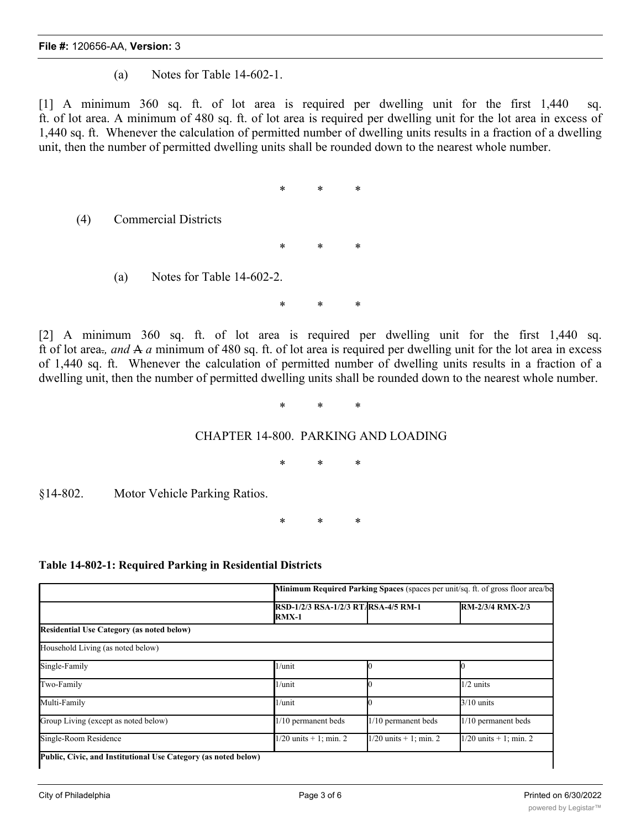(a) Notes for Table 14-602-1.

[1] A minimum 360 sq. ft. of lot area is required per dwelling unit for the first 1,440 sq. ft. of lot area. A minimum of 480 sq. ft. of lot area is required per dwelling unit for the lot area in excess of 1,440 sq. ft. Whenever the calculation of permitted number of dwelling units results in a fraction of a dwelling unit, then the number of permitted dwelling units shall be rounded down to the nearest whole number.

\* \* \*

\* \* \*

(4) Commercial Districts

(a) Notes for Table 14-602-2.

\* \* \*

[2] A minimum 360 sq. ft. of lot area is required per dwelling unit for the first 1,440 sq. ft of lot area<sub>r</sub>, and A a minimum of 480 sq. ft. of lot area is required per dwelling unit for the lot area in excess of 1,440 sq. ft. Whenever the calculation of permitted number of dwelling units results in a fraction of a dwelling unit, then the number of permitted dwelling units shall be rounded down to the nearest whole number.

\* \* \*

#### CHAPTER 14-800. PARKING AND LOADING

\* \* \*

§14-802. Motor Vehicle Parking Ratios.

\* \* \*

#### **Table 14-802-1: Required Parking in Residential Districts**

|                                                  | <b>Minimum Required Parking Spaces (spaces per unit/sq. ft. of gross floor area/be</b> |                            |                            |
|--------------------------------------------------|----------------------------------------------------------------------------------------|----------------------------|----------------------------|
|                                                  | <b>RSD-1/2/3 RSA-1/2/3 RTARSA-4/5 RM-1</b><br><b>RMX-1</b>                             |                            | RM-2/3/4 RMX-2/3           |
| <b>Residential Use Category (as noted below)</b> |                                                                                        |                            |                            |
| Household Living (as noted below)                |                                                                                        |                            |                            |
| Single-Family                                    | $1/$ unit                                                                              |                            |                            |
| Two-Family                                       | $1/$ unit                                                                              |                            | $1/2$ units                |
| Multi-Family                                     | $1/$ unit                                                                              |                            | $3/10$ units               |
| Group Living (except as noted below)             | 1/10 permanent beds                                                                    | 1/10 permanent beds        | 1/10 permanent beds        |
| Single-Room Residence                            | $1/20$ units $+1$ ; min. 2                                                             | $1/20$ units $+1$ ; min. 2 | $1/20$ units $+1$ ; min. 2 |

which which will be a strong with the strong strong with the strong strong with the strong strong with the strong strong strong with the strong strong strong strong strong strong strong strong strong strong strong strong s

which which will be a strong with the strong strong with the strong strong with the strong strong with the strong strong strong with the strong strong strong strong strong strong strong strong strong strong strong strong s

which which will be a strong with the strong strong with the strong strong with the strong strong with the strong strong strong with the strong strong strong strong strong strong strong strong strong strong strong strong s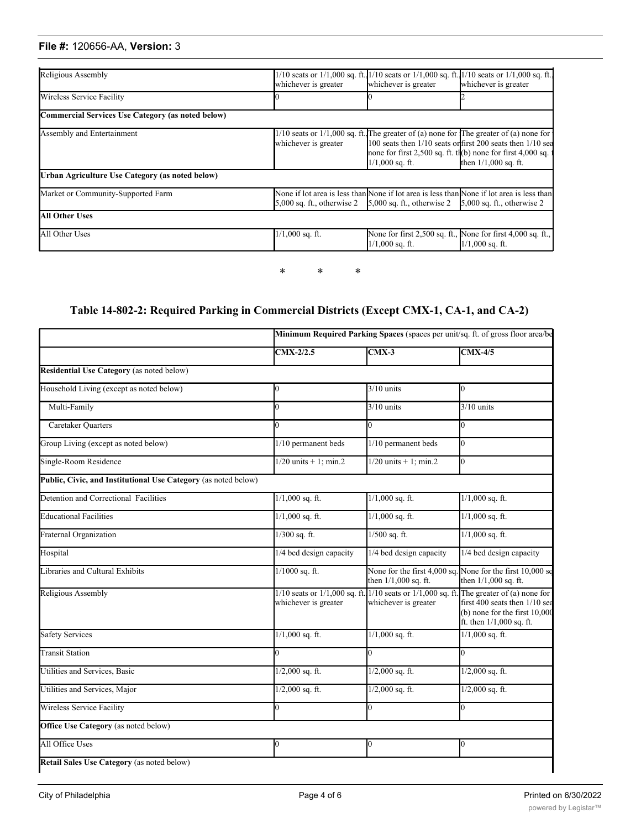## **File #:** 120656-AA, **Version:** 3

**Public, Civic, and Institutional Use Category (as noted below)**

| Religious Assembly                                | whichever is greater | whichever is greater                                                                       | $1/10$ seats or $1/1,000$ sq. ft. $1/10$ seats or $1/1,000$ sq. ft. $1/10$ seats or $1/1,000$ sq. ft.<br>whichever is greater                                                                                                                            |
|---------------------------------------------------|----------------------|--------------------------------------------------------------------------------------------|----------------------------------------------------------------------------------------------------------------------------------------------------------------------------------------------------------------------------------------------------------|
| Wireless Service Facility                         |                      |                                                                                            |                                                                                                                                                                                                                                                          |
| Commercial Services Use Category (as noted below) |                      |                                                                                            |                                                                                                                                                                                                                                                          |
| Assembly and Entertainment                        | whichever is greater | $1/1,000$ sq. ft.                                                                          | $1/10$ seats or $1/1,000$ sq. ft. The greater of (a) none for The greater of (a) none for<br>100 seats then $1/10$ seats orifirst 200 seats then $1/10$ sea<br>none for first $2,500$ sq. ft. th(b) none for first $4,000$ sq.<br>then $1/1,000$ sq. ft. |
| Urban Agriculture Use Category (as noted below)   |                      |                                                                                            |                                                                                                                                                                                                                                                          |
| Market or Community-Supported Farm                |                      | 5,000 sq. ft., otherwise 2 $\,$ 5,000 sq. ft., otherwise 2 $\,$ 5,000 sq. ft., otherwise 2 | None if lot area is less than None if lot area is less than None if lot area is less than                                                                                                                                                                |
| <b>All Other Uses</b>                             |                      |                                                                                            |                                                                                                                                                                                                                                                          |
| All Other Uses                                    | $1/1,000$ sq. ft.    | $1/1,000$ sq. ft.                                                                          | None for first 2,500 sq. ft., None for first 4,000 sq. ft.,<br>$1/1,000$ sq. ft.                                                                                                                                                                         |

### **Table 14-802-2: Required Parking in Commercial Districts (Except CMX-1, CA-1, and CA-2)**

\* \* \*

|                                                                | $CMX-2/2.5$                                               | $CMX-3$                                                                                | $CMX-4/5$                                                                                                                       |
|----------------------------------------------------------------|-----------------------------------------------------------|----------------------------------------------------------------------------------------|---------------------------------------------------------------------------------------------------------------------------------|
| <b>Residential Use Category</b> (as noted below)               |                                                           |                                                                                        |                                                                                                                                 |
| Household Living (except as noted below)                       |                                                           | $3/10$ units                                                                           | Ю.                                                                                                                              |
| Multi-Family                                                   |                                                           | $3/10$ units                                                                           | $3/10$ units                                                                                                                    |
| Caretaker Quarters                                             |                                                           | 0                                                                                      | lo.                                                                                                                             |
| Group Living (except as noted below)                           | 1/10 permanent beds                                       | 1/10 permanent beds                                                                    | Ю.                                                                                                                              |
| Single-Room Residence                                          | $1/20$ units + 1; min.2                                   | $1/20$ units $+1$ ; min.2                                                              | l0                                                                                                                              |
| Public, Civic, and Institutional Use Category (as noted below) |                                                           |                                                                                        |                                                                                                                                 |
| Detention and Correctional Facilities                          | $1/1,000$ sq. ft.                                         | $1/1,000$ sq. ft.                                                                      | $1/1,000$ sq. ft.                                                                                                               |
| <b>Educational Facilities</b>                                  | $1/1,000$ sq. ft.                                         | $1/1,000$ sq. ft.                                                                      | $1/1,000$ sq. ft.                                                                                                               |
| Fraternal Organization                                         | $1/300$ sq. ft.                                           | $1/500$ sq. ft.                                                                        | $1/1,000$ sq. ft.                                                                                                               |
| Hospital                                                       | 1/4 bed design capacity                                   | 1/4 bed design capacity                                                                | 1/4 bed design capacity                                                                                                         |
| Libraries and Cultural Exhibits                                | $1/1000$ sq. ft.                                          | None for the first $4,000$ sq. None for the first $10,000$ sq.<br>then 1/1,000 sq. ft. | then 1/1,000 sq. ft.                                                                                                            |
| Religious Assembly                                             | $1/10$ seats or $1/1,000$ sq. ft.<br>whichever is greater | $1/10$ seats or $1/1,000$ sq. ft<br>whichever is greater                               | The greater of $(a)$ none for<br>first 400 seats then 1/10 sea<br>$(b)$ none for the first $10,000$<br>ft. then 1/1,000 sq. ft. |
| <b>Safety Services</b>                                         | $1/1,000$ sq. ft.                                         | $1/1,000$ sq. ft.                                                                      | $1/1,000$ sq. ft.                                                                                                               |
| <b>Transit Station</b>                                         | $\Omega$                                                  | $\overline{0}$                                                                         | $\overline{0}$                                                                                                                  |
| Utilities and Services, Basic                                  | $1/2,000$ sq. ft.                                         | $1/2,000$ sq. ft.                                                                      | $1/2,000$ sq. ft.                                                                                                               |
| Utilities and Services, Major                                  | $1/2,000$ sq. ft.                                         | $1/2,000$ sq. ft.                                                                      | $1/2,000$ sq. ft.                                                                                                               |
| <b>Wireless Service Facility</b>                               |                                                           | $\overline{0}$                                                                         | $\overline{0}$                                                                                                                  |
| Office Use Category (as noted below)                           |                                                           |                                                                                        |                                                                                                                                 |
| All Office Uses                                                | Ю                                                         | $\overline{0}$                                                                         | l0                                                                                                                              |

All Retail Sales Uses 0 0 0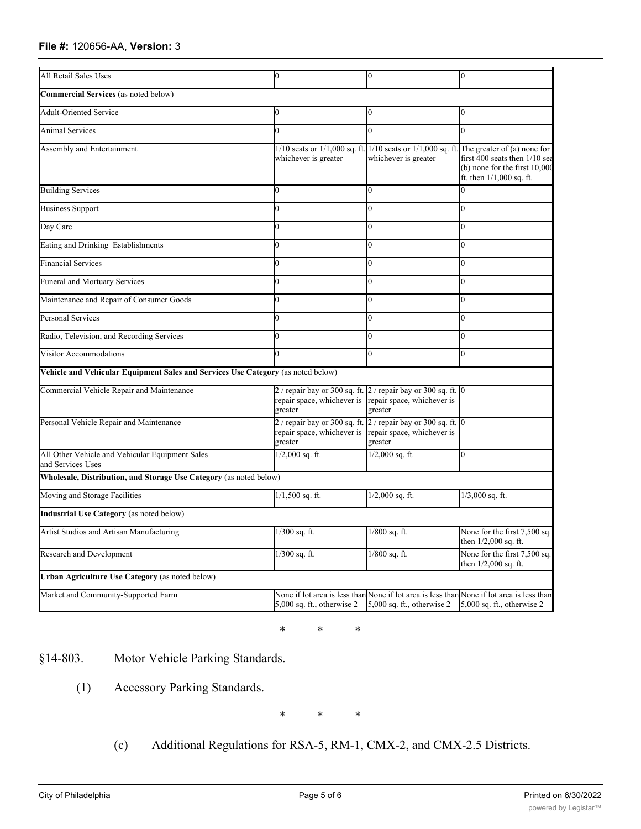#### **File #:** 120656-AA, Version: 3 **Retail Sales Use Category** (as noted below)

| All Retail Sales Uses                                                            | Ю                                                                                                        | 0                                                                                           | 0                                                                                                                             |
|----------------------------------------------------------------------------------|----------------------------------------------------------------------------------------------------------|---------------------------------------------------------------------------------------------|-------------------------------------------------------------------------------------------------------------------------------|
| Commercial Services (as noted below)                                             |                                                                                                          |                                                                                             |                                                                                                                               |
|                                                                                  |                                                                                                          |                                                                                             |                                                                                                                               |
| <b>Adult-Oriented Service</b>                                                    |                                                                                                          |                                                                                             | 0                                                                                                                             |
| Animal Services                                                                  |                                                                                                          |                                                                                             | 0                                                                                                                             |
| Assembly and Entertainment                                                       | whichever is greater                                                                                     | $1/10$ seats or $1/1,000$ sq. ft. $1/10$ seats or $1/1,000$ sq. ft.<br>whichever is greater | The greater of (a) none for<br>first 400 seats then 1/10 sea<br>$(b)$ none for the first $10,000$<br>ft. then 1/1,000 sq. ft. |
| <b>Building Services</b>                                                         | 0                                                                                                        | 0                                                                                           |                                                                                                                               |
| <b>Business Support</b>                                                          |                                                                                                          |                                                                                             | 0                                                                                                                             |
| Day Care                                                                         |                                                                                                          | 0                                                                                           | 0                                                                                                                             |
| Eating and Drinking Establishments                                               |                                                                                                          |                                                                                             | 0                                                                                                                             |
| <b>Financial Services</b>                                                        |                                                                                                          |                                                                                             | 0                                                                                                                             |
| <b>Funeral and Mortuary Services</b>                                             |                                                                                                          |                                                                                             | 0                                                                                                                             |
| Maintenance and Repair of Consumer Goods                                         |                                                                                                          |                                                                                             | 0                                                                                                                             |
| Personal Services                                                                | 0                                                                                                        | 0                                                                                           | O.                                                                                                                            |
| Radio, Television, and Recording Services                                        |                                                                                                          |                                                                                             | 0                                                                                                                             |
| Visitor Accommodations                                                           | 0                                                                                                        |                                                                                             | 0                                                                                                                             |
| Vehicle and Vehicular Equipment Sales and Services Use Category (as noted below) |                                                                                                          |                                                                                             |                                                                                                                               |
| Commercial Vehicle Repair and Maintenance                                        | $2/$ repair bay or 300 sq. ft. $2/$ repair bay or 300 sq. ft. 0<br>repair space, whichever is<br>greater | repair space, whichever is<br>greater                                                       |                                                                                                                               |
| Personal Vehicle Repair and Maintenance                                          | 2 / repair bay or 300 sq. ft.<br>repair space, whichever is repair space, whichever is<br>greater        | $2/$ repair bay or 300 sq. ft. 0<br>greater                                                 |                                                                                                                               |
| All Other Vehicle and Vehicular Equipment Sales<br>and Services Uses             | $1/2,000$ sq. ft.                                                                                        | $1/2,000$ sq. ft.                                                                           | 0                                                                                                                             |
| Wholesale, Distribution, and Storage Use Category (as noted below)               |                                                                                                          |                                                                                             |                                                                                                                               |
| Moving and Storage Facilities                                                    | $1/1,500$ sq. ft.                                                                                        | $1/2,000$ sq. ft.                                                                           | $1/3,000$ sq. ft.                                                                                                             |
| Industrial Use Category (as noted below)                                         |                                                                                                          |                                                                                             |                                                                                                                               |
| Artist Studios and Artisan Manufacturing                                         | $1/300$ sq. ft.                                                                                          | 1/800 sq. ft.                                                                               | None for the first 7,500 sq.<br>then 1/2,000 sq. ft.                                                                          |
| Research and Development                                                         | $1/300$ sq. ft.                                                                                          | $1/800$ sq. ft.                                                                             | None for the first 7,500 sq.<br>then $1/2,000$ sq. ft.                                                                        |
| <b>Urban Agriculture Use Category (as noted below)</b>                           |                                                                                                          |                                                                                             |                                                                                                                               |
| Market and Community-Supported Farm                                              | None if lot area is less than None if lot area is less than<br>$5,000$ sq. ft., otherwise 2              | $5,000$ sq. ft., otherwise 2                                                                | None if lot area is less than<br>5,000 sq. ft., otherwise 2                                                                   |

\* \* \*

§14-803. Motor Vehicle Parking Standards.

(1) Accessory Parking Standards.

\* \* \*

(c) Additional Regulations for RSA-5, RM-1, CMX-2, and CMX-2.5 Districts.